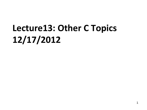# **Lecture13: Other C Topics 12/17/2012**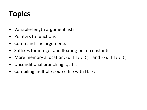### **Topics**

- Variable-length argument lists
- Pointers to functions
- Command-line arguments
- Suffixes for integer and floating-point constants
- More memory allocation:  $calLoc()$  and  $realLoc()$
- Unconditional branching: goto
- Compiling multiple-source file with  $\text{Makefile}$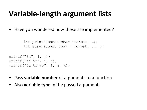#### **Variable-length argument lists**

• Have you wondered how these are implemented?

```
int printf(const char *format, …);
int scanf(const char * format, ... );
```

```
printf(\sqrt{8}d'', i, j);
printf("%d f'', i, j);
printf("%d %f %c", i, j, k);
```
- Pass **variable number** of arguments to a function
- Also **variable type** in the passed arguments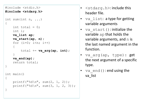```
#include <stdio.h>
#include <stdarg.h>
int sum(int n, \ldots)
\{int total = 0;
     int i;
     va_list ap;
     va_start(ap, n);
    for (i=0; i\leq n; i++)\{ total += va_arg(ap, int);
 }
     va_end(ap);
     return total;
}
int main()
\mathcal{L}printf("%d\n", sum(2, 1, 2));
    printf("%d\n", sum(3, 1, 2, 3));
}
```
- $\lt$ stdarg.h>: include this header file.
- $va$  list: a type for getting variable arguments
- $va$  start(): initialize the variable ap that holds the variable arguments, and n is the last named argument in the function.
- va arg(ap, type): **get** the next argument of a specific type.
- $\forall a \in \text{end}(x)$ : end using the va\_list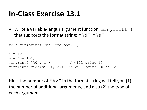#### **In-Class Exercise 13.1**

• Write a variable-length argument function, minprintf(), that supports the format string: " $\&d''$ , " $\&s''$ .

```
void miniprintf(char *format, …);
i = 10;
s = "hello";minprintf("%d", i); \frac{1}{2} // will print 10
minprintf("%d:%s", i, s); // will print 10:hello
```
Hint: the number of " $\×$ " in the format string will tell you (1) the number of additional arguments, and also (2) the type of each argument.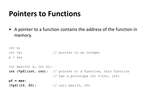#### **Pointers to Functions**

• A pointer to a function contains the address of the function in memory.

```
int x;
int *p; \frac{1}{2} // pointer to an integer
p = \&x;int max(int a, int b);
int (*pf)(int, int); // pointer to a function, this function 
                      // has a prototype int f(int, int)
pf = max;
(*pf)(10, 20); // call max(10, 20)
```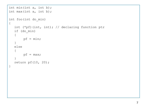```
int min(int a, int b);
int max(int a, int b);
int foo(int do_min)
{
  int (*pf) (int, int); // declaring function ptr
  if (do_min)
   \{pf = min;}
  else
   {
      pf = max;}
  return pf(10, 20);
}
```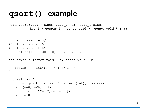#### **qsort() example**

```
void qsort(void * base, size t num, size t size,
            int ( * compar ) ( const void *, const void * ) );
/* qsort example */ 
#include <stdio.h> 
#include <stdlib.h> 
int values [] = { 40, 10, 100, 90, 20, 25 };
int compare (const void * a, const void * b)
{ 
  return (* (int*)a - * (int*)b );
} 
int main () { 
  int n; qsort (values, 6, sizeof(int), compare); 
  for (n=0; n<6; n++)printf ("%d ", values[n]);
  return 0; 
}
```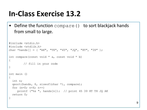#### **In-Class Exercise 13.2**

}

• Define the function compare () to sort blackjack hands from small to large.

```
#include <stdio.h>
#include <stdlib.h>
char *hands[] = { "AK", "T8", "45", "JQ", "8T", "39" };
int compare(const void * a, const void * b)
{
        // fill in your code
}
int main ()
{
   int n;
   qsort(hands, 6, sizeof(char *), compare);
  for (n=0; n<6; n++) printf ("%s ", hands[n]); // print 45 39 8T T8 JQ AK
   return 0;
```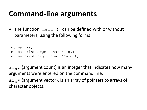#### **Command-line arguments**

• The function main() can be defined with or without parameters, using the following forms:

```
int main();
int main(int argc, char *argv[]); 
int main(int argc, char **argv);
```
argc (argument count) is an integer that indicates how many arguments were entered on the command line. argv (argument vector), is an array of pointers to arrays of

character objects.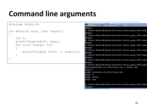### **Command line arguments**

```
#include <stdio.h>
int main(int argc, char *argv[])
{
      int i;
      printf("argc=%d\n", argc);
     for (i=0; i<argc; i++)\left\{\begin{array}{ccc} & & \\ & & \end{array}\right\} printf("arg%d: %s\n", i, argv[i]);
 }
}
```
**EX** C:\Windows\system32\cmd.exe

 $\bf{De}$ bug>

#### De bug > C:\Users\hchu\Desktop\lectures\intro\_prog\_12S\samp De bug> C:\Users\hchu\Desktop\lectures\intro\_prog\_12S\samp De bug > C:\Users\hchu\Desktop\lectures\intro\_prog\_12S\samp] De bug > |C:\Users\hchu\Desktop\lectures\intro\_prog\_12S\samp] |De bug > C:\Users\hchu\Desktop\lectures\intro\_prog\_12S\samp De bug > C:\Users\hchu\Desktop\lectures\intro\_prog\_12S\samp] Debug> C:\Users\hchu\Desktop\lectures\intro\_prog\_12S\samp De bug > C:\Users\hchu\Desktop\lectures\intro\_prog\_12S\samp. Debug>pointers\_to\_functions.exe 1 hello abc argc=4 arg0: pointers\_to\_functions.exe  $arg1: 1$  $arg2:$  hello arg3: abc C:\Users\hchu\Desktop\lectures\intro\_prog\_12S\samp]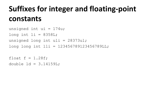#### **Suffixes for integer and floating-point constants**

```
unsigned int ui = 174u;
long int li = 8358L;
unsigned long int uli = 28373ul;long long int lli = 123456789123456789LL;
```
float  $f = 1.28f$ ; double  $1d = 3.14159L$ ;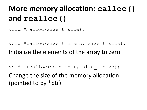### **More memory allocation: calloc() and realloc()**

void \*malloc(size t size);

void \*calloc(size t nmemb, size t size); Initialize the elements of the array to zero.

void \*realloc(void \*ptr, size t size); Change the size of the memory allocation (pointed to by \*ptr).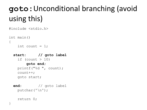## **goto:**Unconditional branching (avoid using this)

```
#include <stdio.h>
```

```
int main()
{
    int count = 1;
```

```
 start: // goto label
  if (count > 10)
       goto end;
   printf("%d ", count);
   count++;
   goto start;
```

```
 end: // goto label
  putchar('\n');
```

```
 return 0;
```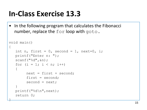#### **In-Class Exercise 13.3**

• In the following program that calculates the Fibonacci number, replace the for loop with goto.

```
void main()
\{int n, first = 0, second = 1, next=0, i;
    printf("Enter n: ");
   scanf(W<sup>8</sup> d'', \delta n);
   for (i = 1; i < n; i++)\{next = first + second;first = second;second = next; }
    printf("%d\n",next);
    return 0;
```
}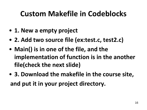- **1. New a empty project**
- **2. Add two source file (ex:test.c, test2.c)**
- **Main() is in one of the file, and the implementation of function is in the another file(check the next slide)**
- **3. Download the makefile in the course site, and put it in your project directory.**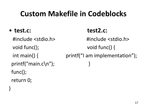#### • **test.c: test2.c:**

}

 void func(); void func() { printf("main.c\n"); func(); return 0;

 #include <stdio.h> #include <stdio.h> int main() { printf("I am implementation");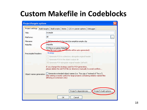| <b>Project/targets options</b>    |                                                                                                                                                                                            |
|-----------------------------------|--------------------------------------------------------------------------------------------------------------------------------------------------------------------------------------------|
| Project settings<br>Build targets | <b>Build scripts</b><br><b>Notes</b><br>$C/C++$ parser options<br>Debugger                                                                                                                 |
| Title:                            | example                                                                                                                                                                                    |
| Platforms:                        | All<br>$\cdots$                                                                                                                                                                            |
| Filename:                         | C:\NLAcourcec\cc211\projects\example\example.cbp                                                                                                                                           |
| Makefile:                         | Makefile                                                                                                                                                                                   |
|                                   | V This is a custom Makefile<br>(the file must exist, perhakefile will be auto-generated)                                                                                                   |
| Precompiled headers:              | Strategy                                                                                                                                                                                   |
|                                   | ◯ Generate PCH in a directory alongside original header                                                                                                                                    |
|                                   | $\bigcirc$ Generate PCH in the object output dir                                                                                                                                           |
|                                   | Generate PCH alongside original header (default)                                                                                                                                           |
|                                   | If you change the strategy used for PCH generation,<br>please delete the old PCH file (or directory) manually to avoid conflicts                                                           |
| Object names generation:          | Generate extended object names (i.e. "foo.cpp.o" instead of "foo.o")<br>(this setting is mostly useful for large projects containing similarly named files<br>differing on extension only) |
|                                   |                                                                                                                                                                                            |
|                                   | Project's build options<br>Project's dependencies                                                                                                                                          |
|                                   | Cancel<br>OK                                                                                                                                                                               |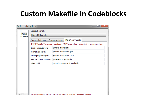| bbb                    | Selected compiler         |                                                                            |
|------------------------|---------------------------|----------------------------------------------------------------------------|
| Debug<br>llack Release | <b>GNU GCC Compiler</b>   |                                                                            |
|                        |                           | Pre/post build steps   Custom variables   "Make" commands                  |
|                        |                           | IMPORTANT: These commands are ONLY used when the project is using a custom |
|                        | Build project/target:     | \$make -f \$makefile                                                       |
|                        | Compile single file:      | \$make -f \$makefile \$file                                                |
|                        | Clean project/target:     | \$make -f \$makefile clean                                                 |
|                        | Ask if rebuild is needed: | \$make -q -f \$makefile                                                    |
|                        | Silent build:             | mingw32-make -s -f \$makefile                                              |
|                        |                           |                                                                            |
|                        |                           |                                                                            |
|                        |                           |                                                                            |
|                        |                           |                                                                            |